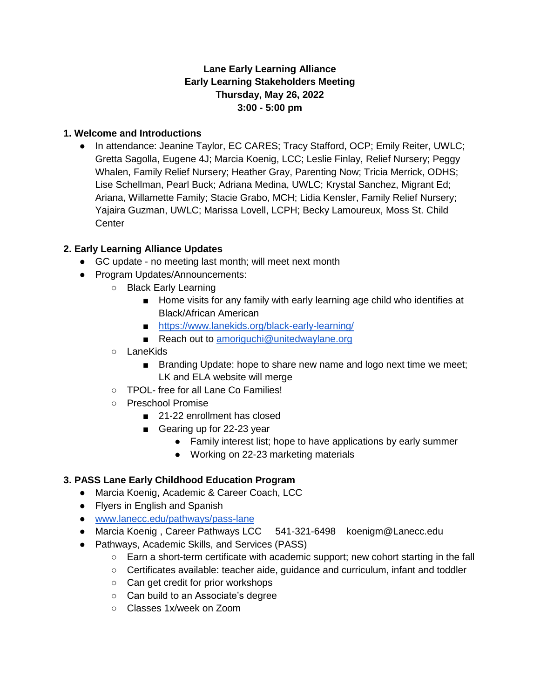### **Lane Early Learning Alliance Early Learning Stakeholders Meeting Thursday, May 26, 2022 3:00 - 5:00 pm**

#### **1. Welcome and Introductions**

● In attendance: Jeanine Taylor, EC CARES; Tracy Stafford, OCP; Emily Reiter, UWLC; Gretta Sagolla, Eugene 4J; Marcia Koenig, LCC; Leslie Finlay, Relief Nursery; Peggy Whalen, Family Relief Nursery; Heather Gray, Parenting Now; Tricia Merrick, ODHS; Lise Schellman, Pearl Buck; Adriana Medina, UWLC; Krystal Sanchez, Migrant Ed; Ariana, Willamette Family; Stacie Grabo, MCH; Lidia Kensler, Family Relief Nursery; Yajaira Guzman, UWLC; Marissa Lovell, LCPH; Becky Lamoureux, Moss St. Child **Center** 

#### **2. Early Learning Alliance Updates**

- GC update no meeting last month; will meet next month
- Program Updates/Announcements:
	- Black Early Learning
		- Home visits for any family with early learning age child who identifies at Black/African American
		- <https://www.lanekids.org/black-early-learning/>
		- Reach out to [amoriguchi@unitedwaylane.org](mailto:amoriguchi@unitedwaylane.org)
		- LaneKids
			- Branding Update: hope to share new name and logo next time we meet; LK and ELA website will merge
		- TPOL- free for all Lane Co Families!
		- Preschool Promise
			- 21-22 enrollment has closed
			- Gearing up for 22-23 year
				- Family interest list; hope to have applications by early summer
				- Working on 22-23 marketing materials

### **3. PASS Lane Early Childhood Education Program**

- Marcia Koenig, Academic & Career Coach, LCC
- Flyers in English and Spanish
- [www.lanecc.edu/pathways/pass-lane](http://www.lanecc.edu/pathways/pass-lane)
- Marcia Koenig, Career Pathways LCC 541-321-6498 koenigm@Lanecc.edu
- Pathways, Academic Skills, and Services (PASS)
	- Earn a short-term certificate with academic support; new cohort starting in the fall
	- Certificates available: teacher aide, guidance and curriculum, infant and toddler
	- Can get credit for prior workshops
	- Can build to an Associate's degree
	- Classes 1x/week on Zoom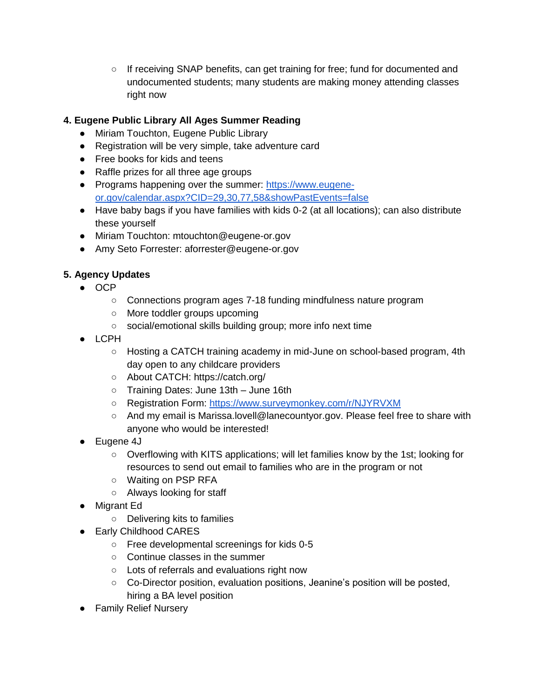○ If receiving SNAP benefits, can get training for free; fund for documented and undocumented students; many students are making money attending classes right now

## **4. Eugene Public Library All Ages Summer Reading**

- Miriam Touchton, Eugene Public Library
- Registration will be very simple, take adventure card
- Free books for kids and teens
- Raffle prizes for all three age groups
- Programs happening over the summer: [https://www.eugene](https://www.eugene-or.gov/calendar.aspx?CID=29,30,77,58&showPastEvents=false)[or.gov/calendar.aspx?CID=29,30,77,58&showPastEvents=false](https://www.eugene-or.gov/calendar.aspx?CID=29,30,77,58&showPastEvents=false)
- Have baby bags if you have families with kids 0-2 (at all locations); can also distribute these yourself
- Miriam Touchton: mtouchton@eugene-or.gov
- Amy Seto Forrester: aforrester@eugene-or.gov

# **5. Agency Updates**

- OCP
	- Connections program ages 7-18 funding mindfulness nature program
	- More toddler groups upcoming
	- social/emotional skills building group; more info next time
- LCPH
	- Hosting a CATCH training academy in mid-June on school-based program, 4th day open to any childcare providers
	- About CATCH: https://catch.org/
	- Training Dates: June 13th June 16th
	- Registration Form:<https://www.surveymonkey.com/r/NJYRVXM>
	- And my email is Marissa.lovell@lanecountyor.gov. Please feel free to share with anyone who would be interested!
- Eugene 4J
	- Overflowing with KITS applications; will let families know by the 1st; looking for resources to send out email to families who are in the program or not
	- Waiting on PSP RFA
	- Always looking for staff
- Migrant Ed
	- Delivering kits to families
- Early Childhood CARES
	- Free developmental screenings for kids 0-5
	- Continue classes in the summer
	- Lots of referrals and evaluations right now
	- Co-Director position, evaluation positions, Jeanine's position will be posted, hiring a BA level position
- Family Relief Nursery